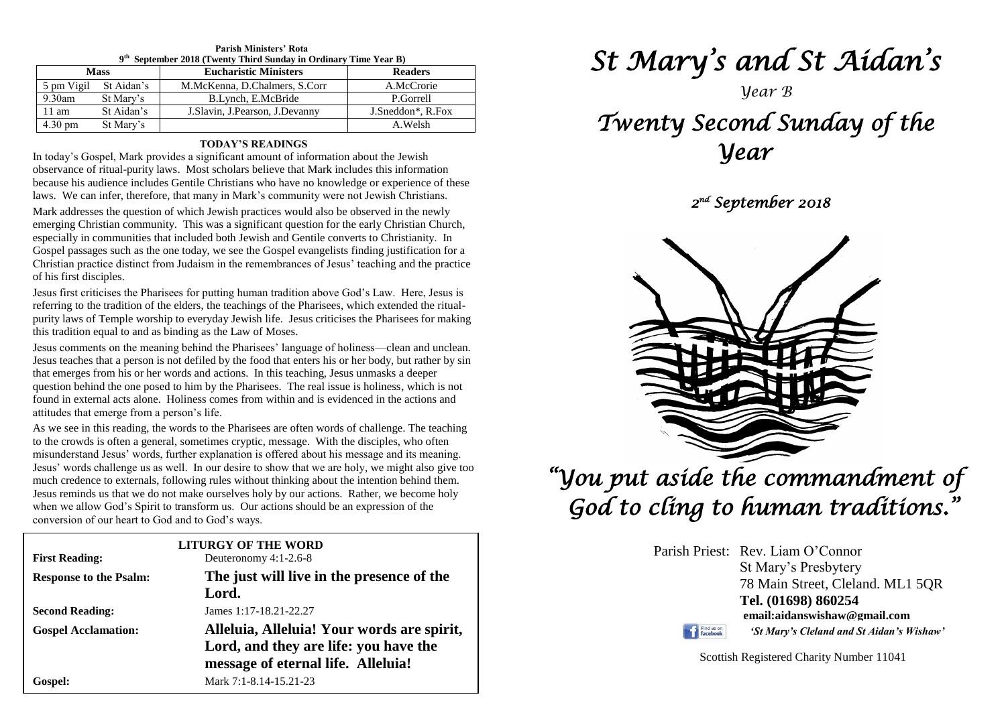| Parish Ministers Rota<br>9 <sup>th</sup> September 2018 (Twenty Third Sunday in Ordinary Time Year B) |            |                                   |                                |  |
|-------------------------------------------------------------------------------------------------------|------------|-----------------------------------|--------------------------------|--|
| <b>Mass</b>                                                                                           |            | <b>Eucharistic Ministers</b>      | <b>Readers</b>                 |  |
| 5 pm Vigil                                                                                            | St Aidan's | M.McKenna, D.Chalmers, S.Corr     | A.McCrorie                     |  |
| 9.30am                                                                                                | St Mary's  | B.Lynch, E.McBride                | P.Gorrell                      |  |
| $11 \text{ am}$                                                                                       | St Aidan's | J. Slavin, J. Pearson, J. Devanny | J.Sneddon <sup>*</sup> , R.Fox |  |
| 4.30 pm                                                                                               | St Mary's  |                                   | A.Welsh                        |  |

**Parish Ministers' Rota**

# **TODAY'S READINGS**

In today's Gospel, Mark provides a significant amount of information about the Jewish observance of ritual-purity laws. Most scholars believe that Mark includes this information because his audience includes Gentile Christians who have no knowledge or experience of these laws. We can infer, therefore, that many in Mark's community were not Jewish Christians.

Mark addresses the question of which Jewish practices would also be observed in the newly emerging Christian community. This was a significant question for the early Christian Church, especially in communities that included both Jewish and Gentile converts to Christianity. In Gospel passages such as the one today, we see the Gospel evangelists finding justification for a Christian practice distinct from Judaism in the remembrances of Jesus' teaching and the practice of his first disciples.

Jesus first criticises the Pharisees for putting human tradition above God's Law. Here, Jesus is referring to the tradition of the elders, the teachings of the Pharisees, which extended the ritualpurity laws of Temple worship to everyday Jewish life. Jesus criticises the Pharisees for making this tradition equal to and as binding as the Law of Moses.

bestas ceaches that a person is not derived by the rood that enters ins or her body, but rather by st<br>that emerges from his or her words and actions. In this teaching, Jesus unmasks a deeper<br>question behind the one posed t attitudes that emerge from a person's life.<br>As we see in this reading, the words to the Pharisees are often words of challenge. The teaching Jesus comments on the meaning behind the Pharisees' language of holiness—clean and unclean. Jesus teaches that a person is not defiled by the food that enters his or her body, but rather by sin that emerges from his or her words and actions. In this teaching, Jesus unmasks a deeper found in external acts alone. Holiness comes from within and is evidenced in the actions and attitudes that emerge from a person's life.

*n* is the crowds is often a general, sometimes explice, message. While the disciples, who often misunderstand Jesus' words, further explanation is offered about his message and its meaning.<br>Jesus' words challenge us as we *Figures in the member of externals, following rates whilout unifiking about the intention benind them.*<br>Jesus reminds us that we do not make ourselves holy by our actions. Rather, we become holy<br>when we allow God's Spirit to the crowds is often a general, sometimes cryptic, message. With the disciples, who often misunderstand Jesus' words, further explanation is offered about his message and its meaning. much credence to externals, following rules without thinking about the intention behind them. when we allow God's Spirit to transform us. Our actions should be an expression of the conversion of our heart to God and to God's ways.

| conversion of our neart to God and to God 3 ways. |                                                                             |  |  |
|---------------------------------------------------|-----------------------------------------------------------------------------|--|--|
| <b>LITURGY OF THE WORD</b>                        |                                                                             |  |  |
| <b>First Reading:</b>                             | Deuteronomy 4:1-2.6-8                                                       |  |  |
| <b>Response to the Psalm:</b>                     | The just will live in the presence of the                                   |  |  |
|                                                   | Lord.                                                                       |  |  |
| <b>Second Reading:</b>                            | James 1:17-18.21-22.27                                                      |  |  |
| <b>Gospel Acclamation:</b>                        | Alleluia, Alleluia! Your words are spirit,                                  |  |  |
|                                                   | Lord, and they are life: you have the<br>message of eternal life. Alleluia! |  |  |
| Gospel:                                           | Mark 7:1-8.14-15.21-23                                                      |  |  |

*St Mary's and St Aidan's* 

# *Year B*

# *Twenty Second Sunday of the Year*

 *2 nd September 2018* 



 *"You put aside the commandment of God to cling to human traditions."* 

> Parish Priest: Rev. Liam O'Connor St Mary's Presbytery 78 Main Street, Cleland. ML1 5QR **Tel. (01698) 860254 email:aidanswishaw@gmail.com**

Find us on

*'St Mary's Cleland and St Aidan's Wishaw'*

Scottish Registered Charity Number 11041